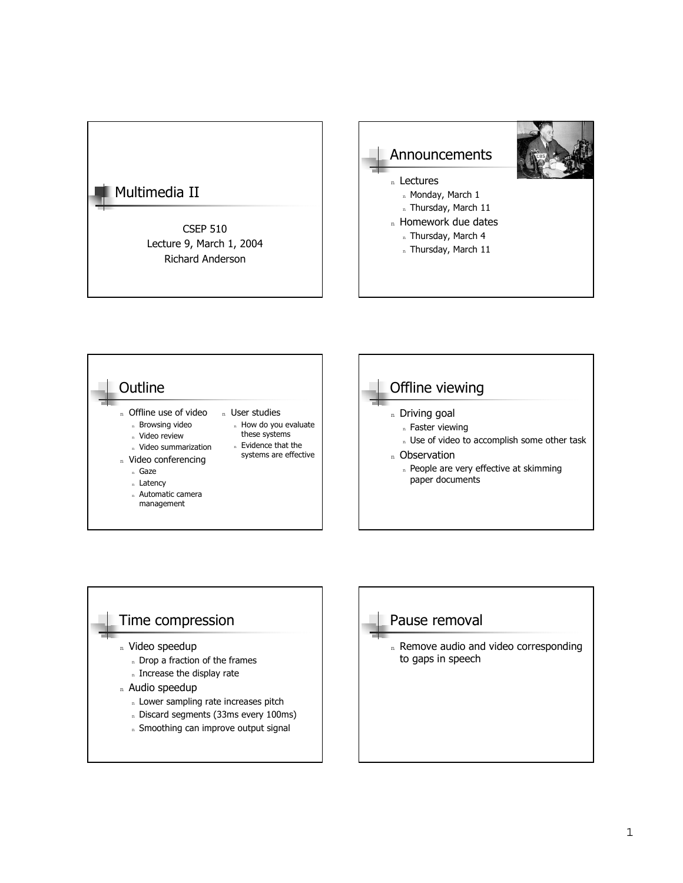





### Pause removal

n Remove audio and video corresponding to gaps in speech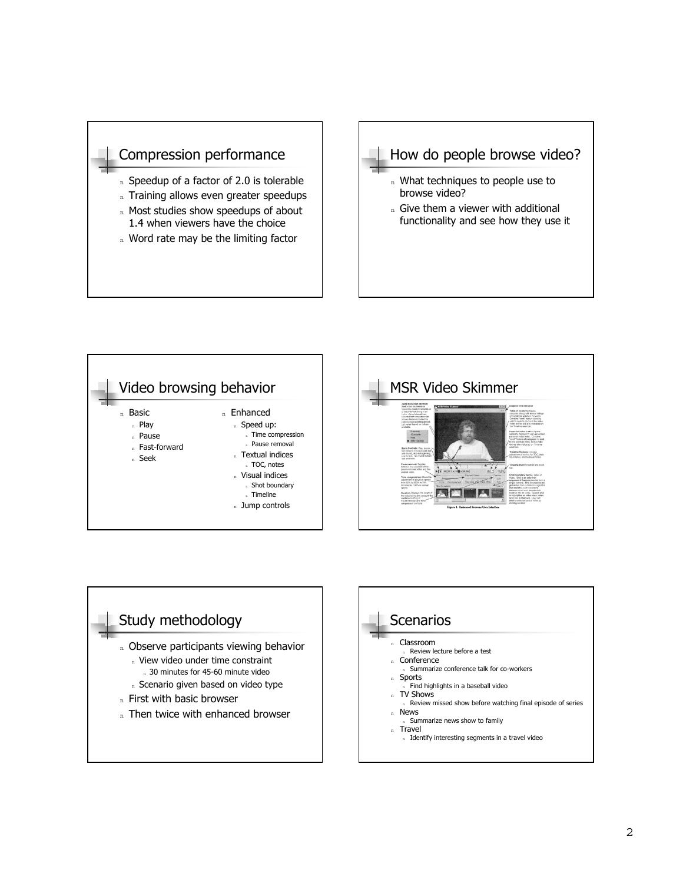







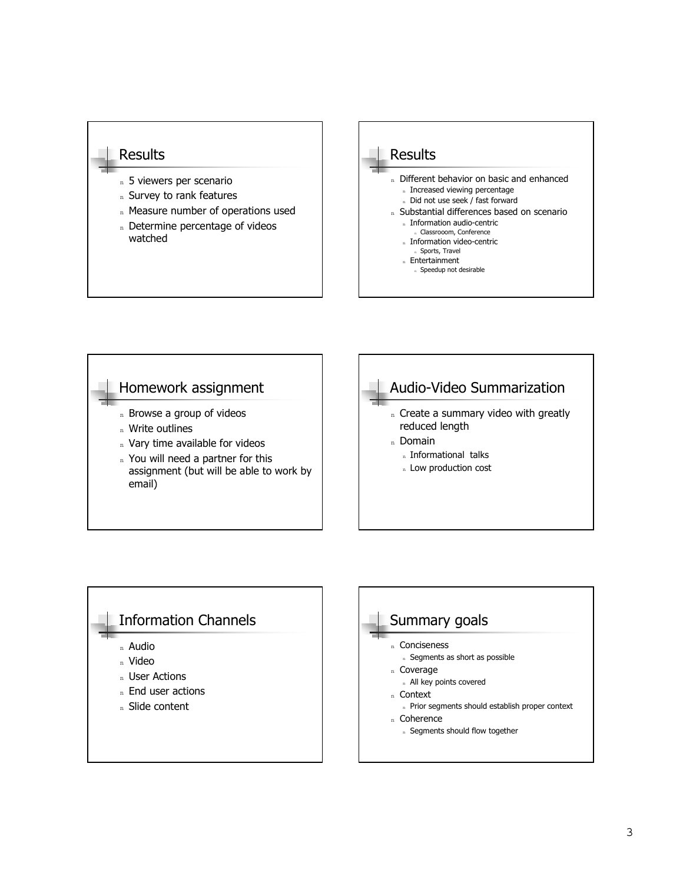#### **Results**

- n 5 viewers per scenario
- n Survey to rank features
- n Measure number of operations used
- n Determine percentage of videos watched



# Homework assignment n Browse a group of videos n Write outlines n Vary time available for videos n You will need a partner for this assignment (but will be able to work by email)



# Information Channels <sup>n</sup> Audio <sup>n</sup> Video n User Actions n End user actions <sup>n</sup> Slide content

#### Summary goals <sup>n</sup> Conciseness n Segments as short as possible n Coverage n All key points covered <sup>n</sup> Context n Prior segments should establish proper context <sup>n</sup> Coherence n Segments should flow together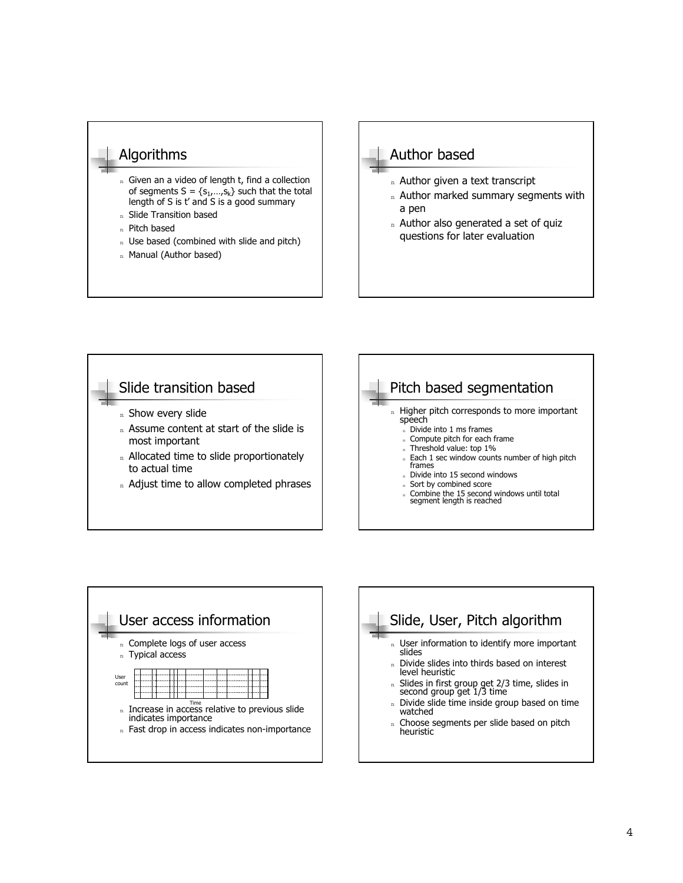### Algorithms

- n Given an a video of length t, find a collection of segments  $S = \{s_1,...,s_k\}$  such that the total length of S is  $t'$  and S is a good summary
- n Slide Transition based
- <sup>n</sup> Pitch based
- n Use based (combined with slide and pitch)
- n Manual (Author based)

### Author based

- n Author given a text transcript
- n Author marked summary segments with a pen
- n Author also generated a set of quiz questions for later evaluation





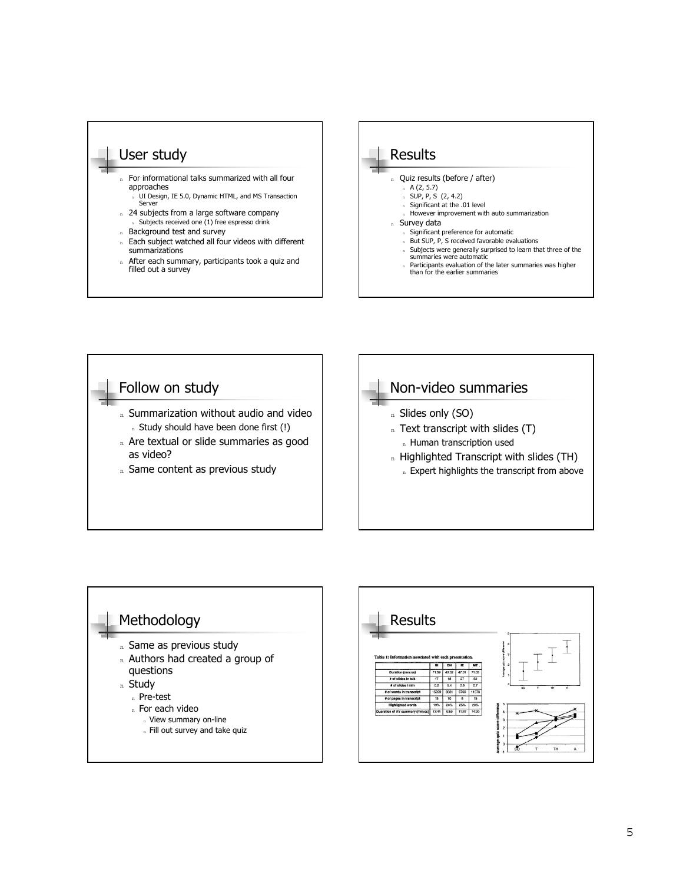







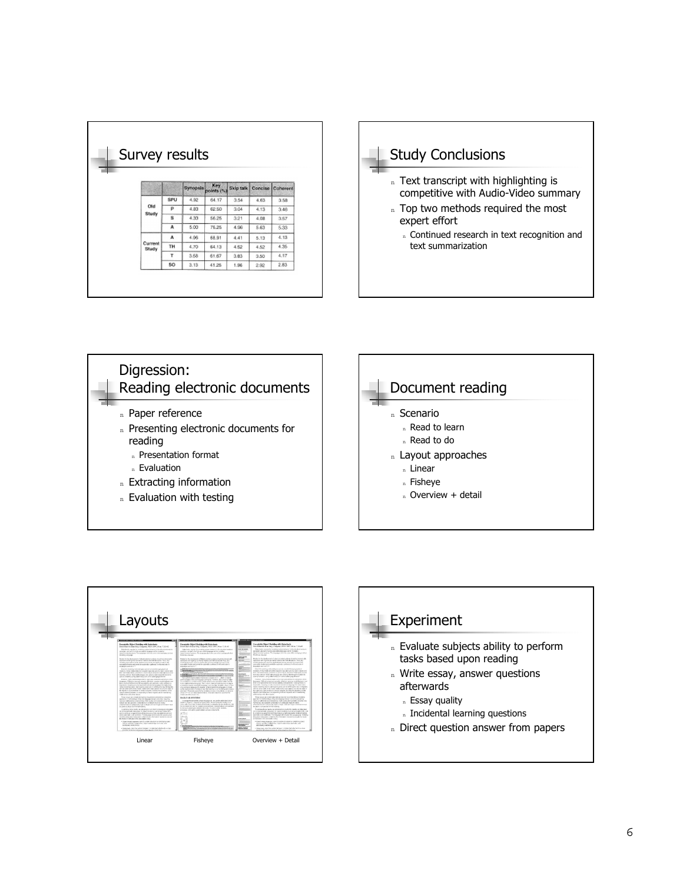|                  |     | Survey results |                    |           |         |          |
|------------------|-----|----------------|--------------------|-----------|---------|----------|
|                  |     |                |                    |           |         |          |
|                  |     |                |                    |           |         |          |
|                  |     | Synopsis       | Key.<br>points (%) | Skip talk | Concise | Coherent |
| Old<br>Study     | SPU | 4.92           | 64.17              | 3.54      | 4.63    | 3.58     |
|                  | p   | 4.83           | 62.50              | 3.04      | 4.13    | 3.46     |
|                  | s   | 4.33           | 56.25              | 3.21      | 4.08    | 3.57     |
|                  | A   | 5.00           | 76.25              | 4.96      | 5.63    | 5.33     |
| Current<br>Study | A   | 4.96           | 68.91              | 4.41      | 5.13    | 4.13     |
|                  | TH  | 4.70           | 64.13              | 4.52      | 4.52    | 4.35     |
|                  | T   | 3.58           | 61.67              | 3.83      | 3.50    | 4.17     |
|                  | SO. | 3.13           | 41.25              | 1.96      | 2.92    | 2.63     |







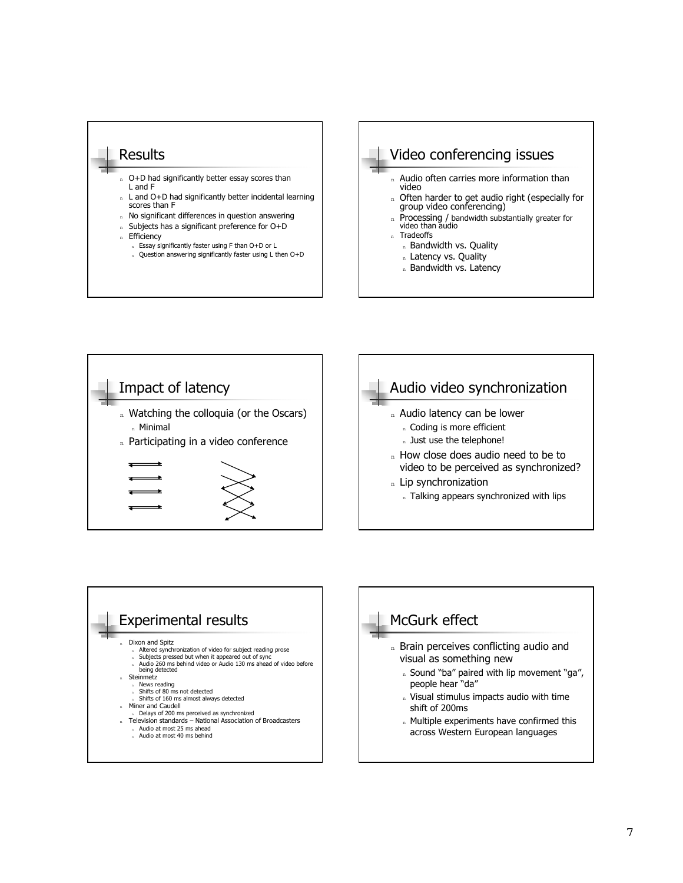







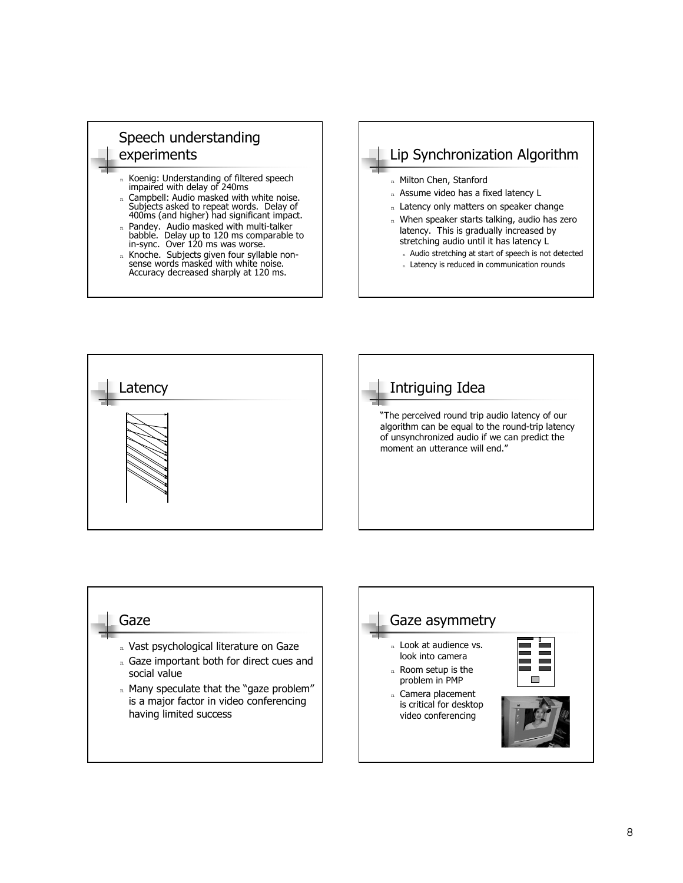

- <sup>n</sup> Koenig: Understanding of filtered speech impaired with delay of 240ms
- <sup>n</sup> Campbell: Audio masked with white noise. Subjects asked to repeat words. Delay of 400ms (and higher) had significant impact.
- <sup>n</sup> Pandey. Audio masked with multi-talker babble. Delay up to 120 ms comparable to in-sync. Over 120 ms was worse.
- n Knoche. Subjects given four syllable nonsense words masked with white noise. Accuracy decreased sharply at 120 ms.







#### Gaze

- n Vast psychological literature on Gaze
- n Gaze important both for direct cues and social value
- $n$  Many speculate that the "gaze problem" is a major factor in video conferencing having limited success

# Gaze asymmetry n Look at audience vs. look into camera n Room setup is the problem in PMP n Camera placement is critical for desktop video conferencing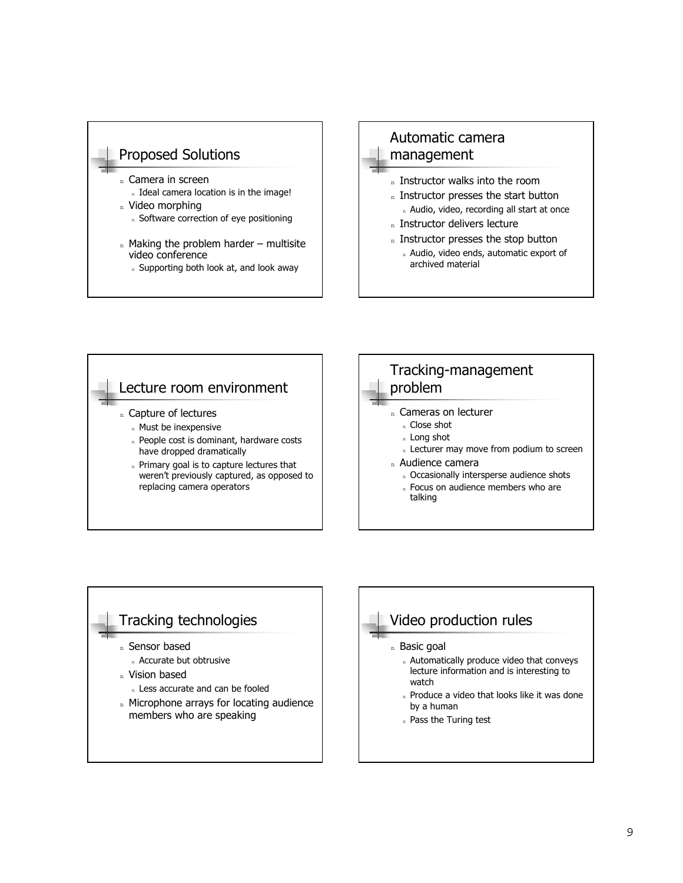

- video conference
	- n Supporting both look at, and look away

### Automatic camera management

- n Instructor walks into the room
- n Instructor presses the start button n Audio, video, recording all start at once
- n Instructor delivers lecture
- n Instructor presses the stop button
- n Audio, video ends, automatic export of archived material



### Tracking technologies

- <sup>n</sup> Sensor based
- <sup>n</sup> Accurate but obtrusive
- n Vision based
	- n Less accurate and can be fooled
- n Microphone arrays for locating audience members who are speaking

### Video production rules

- n Basic goal
	- n Automatically produce video that conveys lecture information and is interesting to watch
	- n Produce a video that looks like it was done by a human
	- n Pass the Turing test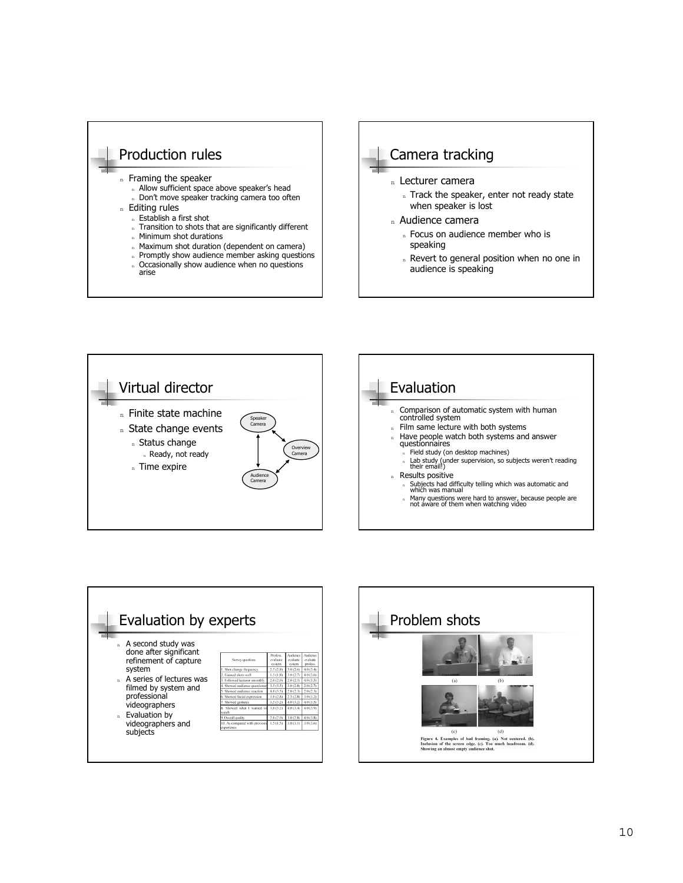



n Revert to general position when no one in audience is speaking